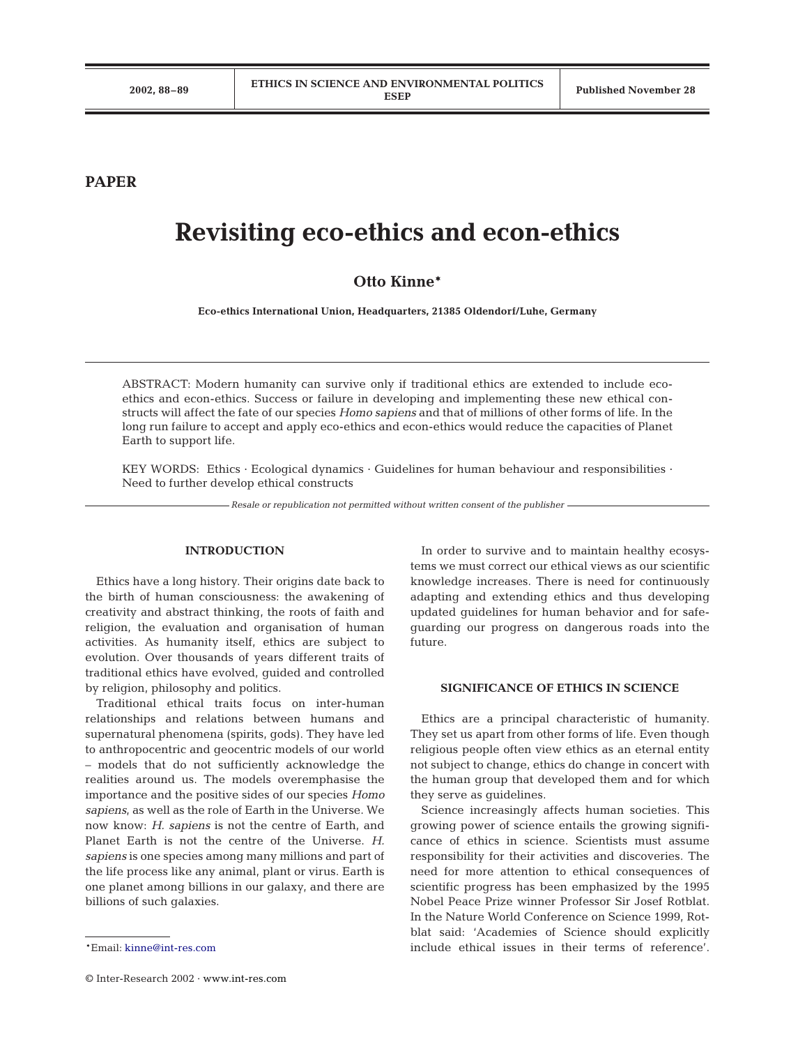**PAPER**

# **Revisiting eco-ethics and econ-ethics**

## **Otto Kinne\***

**Eco-ethics International Union, Headquarters, 21385 Oldendorf/Luhe, Germany**

ABSTRACT: Modern humanity can survive only if traditional ethics are extended to include ecoethics and econ-ethics. Success or failure in developing and implementing these new ethical constructs will affect the fate of our species *Homo sapiens* and that of millions of other forms of life. In the long run failure to accept and apply eco-ethics and econ-ethics would reduce the capacities of Planet Earth to support life.

KEY WORDS: Ethics · Ecological dynamics · Guidelines for human behaviour and responsibilities · Need to further develop ethical constructs

*Resale or republication not permitted without written consent of the publisher*

#### **INTRODUCTION**

Ethics have a long history. Their origins date back to the birth of human consciousness: the awakening of creativity and abstract thinking, the roots of faith and religion, the evaluation and organisation of human activities. As humanity itself, ethics are subject to evolution. Over thousands of years different traits of traditional ethics have evolved, guided and controlled by religion, philosophy and politics.

Traditional ethical traits focus on inter-human relationships and relations between humans and supernatural phenomena (spirits, gods). They have led to anthropocentric and geocentric models of our world – models that do not sufficiently acknowledge the realities around us. The models overemphasise the importance and the positive sides of our species *Homo sapiens*, as well as the role of Earth in the Universe. We now know: *H. sapiens* is not the centre of Earth, and Planet Earth is not the centre of the Universe. *H. sapiens* is one species among many millions and part of the life process like any animal, plant or virus. Earth is one planet among billions in our galaxy, and there are billions of such galaxies.

In order to survive and to maintain healthy ecosystems we must correct our ethical views as our scientific knowledge increases. There is need for continuously adapting and extending ethics and thus developing updated guidelines for human behavior and for safeguarding our progress on dangerous roads into the future.

#### **SIGNIFICANCE OF ETHICS IN SCIENCE**

Ethics are a principal characteristic of humanity. They set us apart from other forms of life. Even though religious people often view ethics as an eternal entity not subject to change, ethics do change in concert with the human group that developed them and for which they serve as guidelines.

Science increasingly affects human societies. This growing power of science entails the growing significance of ethics in science. Scientists must assume responsibility for their activities and discoveries. The need for more attention to ethical consequences of scientific progress has been emphasized by the 1995 Nobel Peace Prize winner Professor Sir Josef Rotblat. In the Nature World Conference on Science 1999, Rotblat said: 'Academies of Science should explicitly include ethical issues in their terms of reference'.

<sup>\*</sup>Email: [kinne@int-res.com](mailto:kinne@int-res.com)